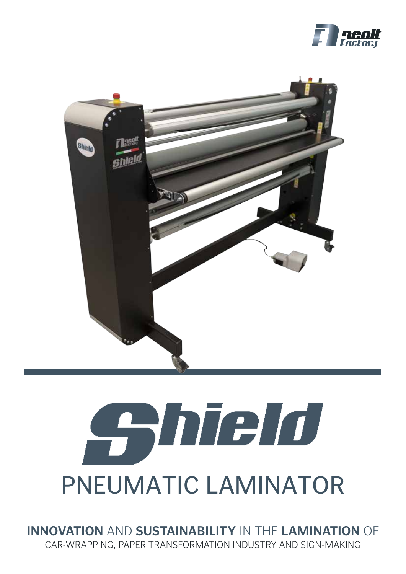



# **California de la de** PNEUMATIC LAMINATOR

**INNOVATION** AND **SUSTAINABILITY** IN THE **LAMINATION** OF CAR-WRAPPING, PAPER TRANSFORMATION INDUSTRY AND SIGN-MAKING